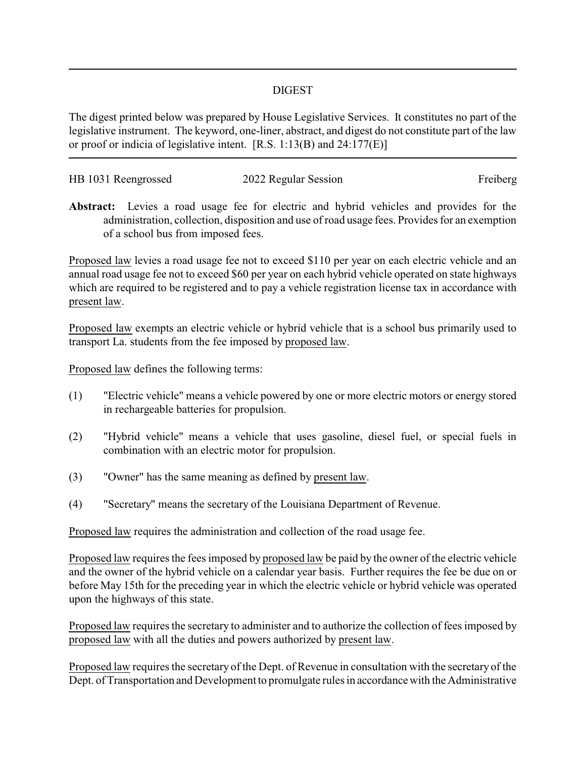## DIGEST

The digest printed below was prepared by House Legislative Services. It constitutes no part of the legislative instrument. The keyword, one-liner, abstract, and digest do not constitute part of the law or proof or indicia of legislative intent. [R.S. 1:13(B) and 24:177(E)]

| HB 1031 Reengrossed | 2022 Regular Session | Freiberg |
|---------------------|----------------------|----------|
|                     |                      |          |

**Abstract:** Levies a road usage fee for electric and hybrid vehicles and provides for the administration, collection, disposition and use of road usage fees. Provides for an exemption of a school bus from imposed fees.

Proposed law levies a road usage fee not to exceed \$110 per year on each electric vehicle and an annual road usage fee not to exceed \$60 per year on each hybrid vehicle operated on state highways which are required to be registered and to pay a vehicle registration license tax in accordance with present law.

Proposed law exempts an electric vehicle or hybrid vehicle that is a school bus primarily used to transport La. students from the fee imposed by proposed law.

Proposed law defines the following terms:

- (1) "Electric vehicle" means a vehicle powered by one or more electric motors or energy stored in rechargeable batteries for propulsion.
- (2) "Hybrid vehicle" means a vehicle that uses gasoline, diesel fuel, or special fuels in combination with an electric motor for propulsion.
- (3) "Owner" has the same meaning as defined by present law.
- (4) "Secretary" means the secretary of the Louisiana Department of Revenue.

Proposed law requires the administration and collection of the road usage fee.

Proposed law requires the fees imposed by proposed law be paid by the owner of the electric vehicle and the owner of the hybrid vehicle on a calendar year basis. Further requires the fee be due on or before May 15th for the preceding year in which the electric vehicle or hybrid vehicle was operated upon the highways of this state.

Proposed law requires the secretary to administer and to authorize the collection of fees imposed by proposed law with all the duties and powers authorized by present law.

Proposed law requires the secretary of the Dept. of Revenue in consultation with the secretary of the Dept. of Transportation and Development to promulgate rules in accordance with the Administrative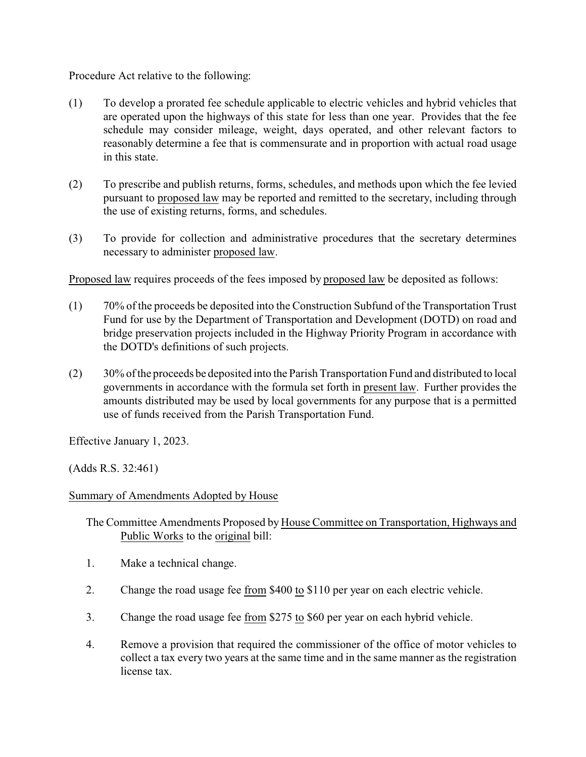Procedure Act relative to the following:

- (1) To develop a prorated fee schedule applicable to electric vehicles and hybrid vehicles that are operated upon the highways of this state for less than one year. Provides that the fee schedule may consider mileage, weight, days operated, and other relevant factors to reasonably determine a fee that is commensurate and in proportion with actual road usage in this state.
- (2) To prescribe and publish returns, forms, schedules, and methods upon which the fee levied pursuant to proposed law may be reported and remitted to the secretary, including through the use of existing returns, forms, and schedules.
- (3) To provide for collection and administrative procedures that the secretary determines necessary to administer proposed law.

Proposed law requires proceeds of the fees imposed by proposed law be deposited as follows:

- (1) 70% of the proceeds be deposited into the Construction Subfund of the Transportation Trust Fund for use by the Department of Transportation and Development (DOTD) on road and bridge preservation projects included in the Highway Priority Program in accordance with the DOTD's definitions of such projects.
- (2) 30% of the proceeds be deposited into the Parish Transportation Fund and distributed to local governments in accordance with the formula set forth in present law. Further provides the amounts distributed may be used by local governments for any purpose that is a permitted use of funds received from the Parish Transportation Fund.

Effective January 1, 2023.

(Adds R.S. 32:461)

## Summary of Amendments Adopted by House

The Committee Amendments Proposed by House Committee on Transportation, Highways and Public Works to the original bill:

- 1. Make a technical change.
- 2. Change the road usage fee from \$400 to \$110 per year on each electric vehicle.
- 3. Change the road usage fee from \$275 to \$60 per year on each hybrid vehicle.
- 4. Remove a provision that required the commissioner of the office of motor vehicles to collect a tax every two years at the same time and in the same manner as the registration license tax.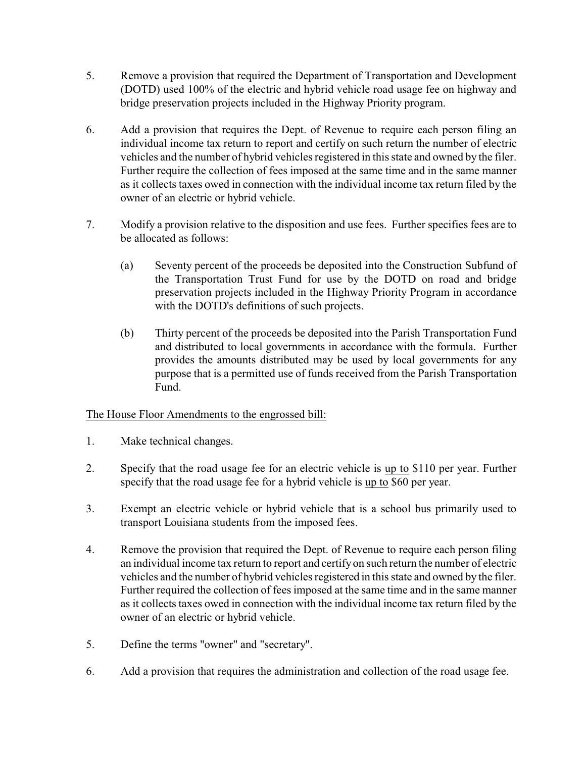- 5. Remove a provision that required the Department of Transportation and Development (DOTD) used 100% of the electric and hybrid vehicle road usage fee on highway and bridge preservation projects included in the Highway Priority program.
- 6. Add a provision that requires the Dept. of Revenue to require each person filing an individual income tax return to report and certify on such return the number of electric vehicles and the number of hybrid vehicles registered in this state and owned by the filer. Further require the collection of fees imposed at the same time and in the same manner as it collects taxes owed in connection with the individual income tax return filed by the owner of an electric or hybrid vehicle.
- 7. Modify a provision relative to the disposition and use fees. Further specifies fees are to be allocated as follows:
	- (a) Seventy percent of the proceeds be deposited into the Construction Subfund of the Transportation Trust Fund for use by the DOTD on road and bridge preservation projects included in the Highway Priority Program in accordance with the DOTD's definitions of such projects.
	- (b) Thirty percent of the proceeds be deposited into the Parish Transportation Fund and distributed to local governments in accordance with the formula. Further provides the amounts distributed may be used by local governments for any purpose that is a permitted use of funds received from the Parish Transportation Fund.

## The House Floor Amendments to the engrossed bill:

- 1. Make technical changes.
- 2. Specify that the road usage fee for an electric vehicle is up to \$110 per year. Further specify that the road usage fee for a hybrid vehicle is up to \$60 per year.
- 3. Exempt an electric vehicle or hybrid vehicle that is a school bus primarily used to transport Louisiana students from the imposed fees.
- 4. Remove the provision that required the Dept. of Revenue to require each person filing an individual income tax return to report and certify on such return the number of electric vehicles and the number of hybrid vehicles registered in this state and owned by the filer. Further required the collection of fees imposed at the same time and in the same manner as it collects taxes owed in connection with the individual income tax return filed by the owner of an electric or hybrid vehicle.
- 5. Define the terms "owner" and "secretary".
- 6. Add a provision that requires the administration and collection of the road usage fee.